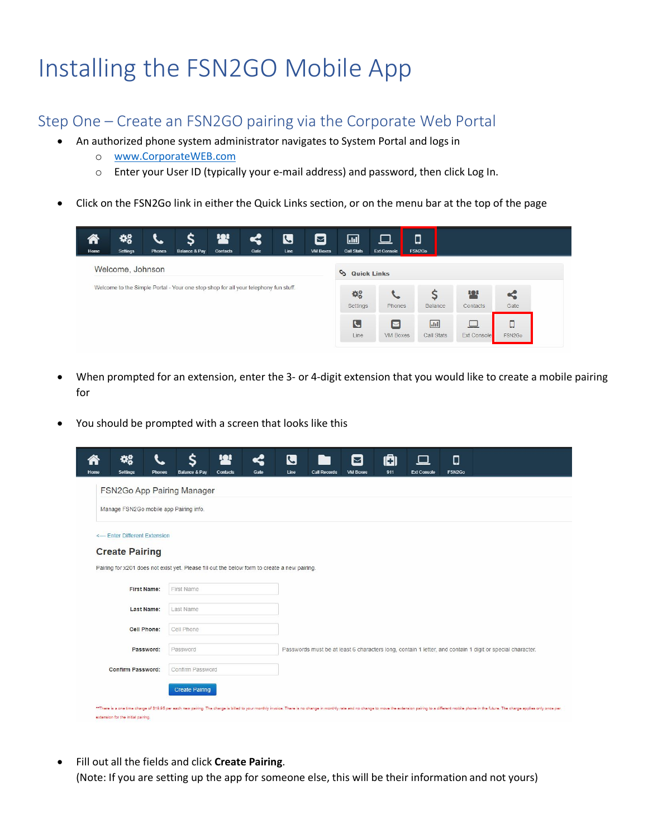# Installing the FSN2GO Mobile App

#### Step One – Create an FSN2GO pairing via the Corporate Web Portal

- An authorized phone system administrator navigates to System Portal and logs in
	- o www.CorporateWEB.com
	- o Enter your User ID (typically your e-mail address) and password, then click Log In.
- Click on the FSN2Go link in either the Quick Links section, or on the menu bar at the top of the page

| $\left( \begin{array}{c} 1 \end{array} \right)$<br>Home | 48<br>Settings   | $\mathcal{P}$<br>Phones | $\boldsymbol{\zeta}$<br><b>Balance &amp; Pay</b>                                    | <b>12'</b><br>Contacts | ς<br>Gate | $\boldsymbol{\mathcal{S}}$<br>Line | $\boldsymbol{\Xi}$<br><b>VM Boxes</b> | $\Box$<br><b>Call Stats</b> | $\Box$<br><b>Ext Console</b> | $\Box$<br>FSN2Go        |                        |                |
|---------------------------------------------------------|------------------|-------------------------|-------------------------------------------------------------------------------------|------------------------|-----------|------------------------------------|---------------------------------------|-----------------------------|------------------------------|-------------------------|------------------------|----------------|
|                                                         | Welcome, Johnson |                         |                                                                                     |                        |           |                                    |                                       | <b>Quick Links</b>          |                              |                         |                        |                |
|                                                         |                  |                         |                                                                                     |                        |           |                                    |                                       |                             |                              |                         |                        |                |
|                                                         |                  |                         | Welcome to the Simple Portal - Your one stop shop for all your telephony fun stuff. |                        |           |                                    |                                       | $\Phi_o^o$<br>Settings      | Phones                       | $\mathsf{S}$<br>Balance | <b>12'</b><br>Contacts | $\leq$<br>Gate |

- When prompted for an extension, enter the 3- or 4-digit extension that you would like to create a mobile pairing for
- You should be prompted with a screen that looks like this

| Home | 43<br><b>Settings</b>                  | <b>Phones</b> | ς<br><b>Balance &amp; Pay</b>                                                                | <u>101</u><br><b>Contacts</b> | ≪<br>Gate | $\overline{\mathbf{C}}$<br>Line | <b>Call Records</b> | ⊠<br><b>VM Boxes</b> | ıa<br>911 | $\Box$<br><b>Ext Console</b> | $\Box$<br>FSN2Go |                                                                                                                                                                                                                                 |  |
|------|----------------------------------------|---------------|----------------------------------------------------------------------------------------------|-------------------------------|-----------|---------------------------------|---------------------|----------------------|-----------|------------------------------|------------------|---------------------------------------------------------------------------------------------------------------------------------------------------------------------------------------------------------------------------------|--|
|      |                                        |               | FSN2Go App Pairing Manager                                                                   |                               |           |                                 |                     |                      |           |                              |                  |                                                                                                                                                                                                                                 |  |
|      | Manage FSN2Go mobile app Pairing info. |               |                                                                                              |                               |           |                                 |                     |                      |           |                              |                  |                                                                                                                                                                                                                                 |  |
|      | <-- Enter Different Extension          |               |                                                                                              |                               |           |                                 |                     |                      |           |                              |                  |                                                                                                                                                                                                                                 |  |
|      | <b>Create Pairing</b>                  |               |                                                                                              |                               |           |                                 |                     |                      |           |                              |                  |                                                                                                                                                                                                                                 |  |
|      |                                        |               | Pairing for x201 does not exist yet. Please fill out the below form to create a new pairing. |                               |           |                                 |                     |                      |           |                              |                  |                                                                                                                                                                                                                                 |  |
|      | First Name:                            |               | First Name                                                                                   |                               |           |                                 |                     |                      |           |                              |                  |                                                                                                                                                                                                                                 |  |
|      | Last Name:                             |               | Last Name                                                                                    |                               |           |                                 |                     |                      |           |                              |                  |                                                                                                                                                                                                                                 |  |
|      | Cell Phone:                            |               | Cell Phone                                                                                   |                               |           |                                 |                     |                      |           |                              |                  |                                                                                                                                                                                                                                 |  |
|      | Password:                              |               | Password                                                                                     |                               |           |                                 |                     |                      |           |                              |                  | Passwords must be at least 6 characters long, contain 1 letter, and contain 1 digit or special character.                                                                                                                       |  |
|      | <b>Confirm Password:</b>               |               | Confirm Password                                                                             |                               |           |                                 |                     |                      |           |                              |                  |                                                                                                                                                                                                                                 |  |
|      |                                        |               | <b>Create Pairing</b>                                                                        |                               |           |                                 |                     |                      |           |                              |                  |                                                                                                                                                                                                                                 |  |
|      | extension for the initial pairing.     |               |                                                                                              |                               |           |                                 |                     |                      |           |                              |                  | **There is a one time charge of \$19.95 per each new pairing. The charge is billed to your monthly invoice. There is no change in monthly rate and no change io move the extension pairing to a different mobile phone in the f |  |

 Fill out all the fields and click **Create Pairing**. (Note: If you are setting up the app for someone else, this will be their information and not yours)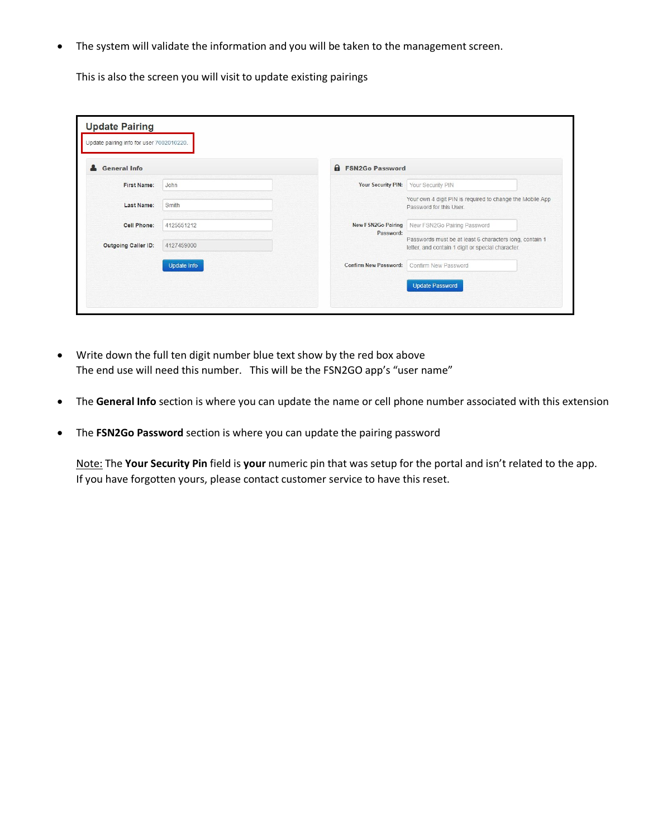The system will validate the information and you will be taken to the management screen.

This is also the screen you will visit to update existing pairings

| <b>General Info</b> |                    | <b>A</b> FSN2Go Password     |                                                                                                              |
|---------------------|--------------------|------------------------------|--------------------------------------------------------------------------------------------------------------|
|                     |                    |                              |                                                                                                              |
| <b>First Name:</b>  | John               | <b>Your Security PIN:</b>    | Your Security PIN                                                                                            |
| Last Name:          | Smith              |                              | Your own 4 digit PIN is required to change the Mobile App<br>Password for this User.                         |
| <b>Cell Phone:</b>  | 4125551212         | <b>New FSN2Go Pairing</b>    | New FSN2Go Pairing Password                                                                                  |
| Outgoing Caller ID: | 4127459000         | Password:                    | Passwords must be at least 6 characters long, contain 1<br>letter, and contain 1 digit or special character. |
|                     | <b>Update Info</b> | <b>Confirm New Password:</b> | Confirm New Password                                                                                         |

- Write down the full ten digit number blue text show by the red box above The end use will need this number. This will be the FSN2GO app's "user name"
- The **General Info** section is where you can update the name or cell phone number associated with this extension
- The **FSN2Go Password** section is where you can update the pairing password

Note: The **Your Security Pin** field is **your** numeric pin that was setup for the portal and isn't related to the app. If you have forgotten yours, please contact customer service to have this reset.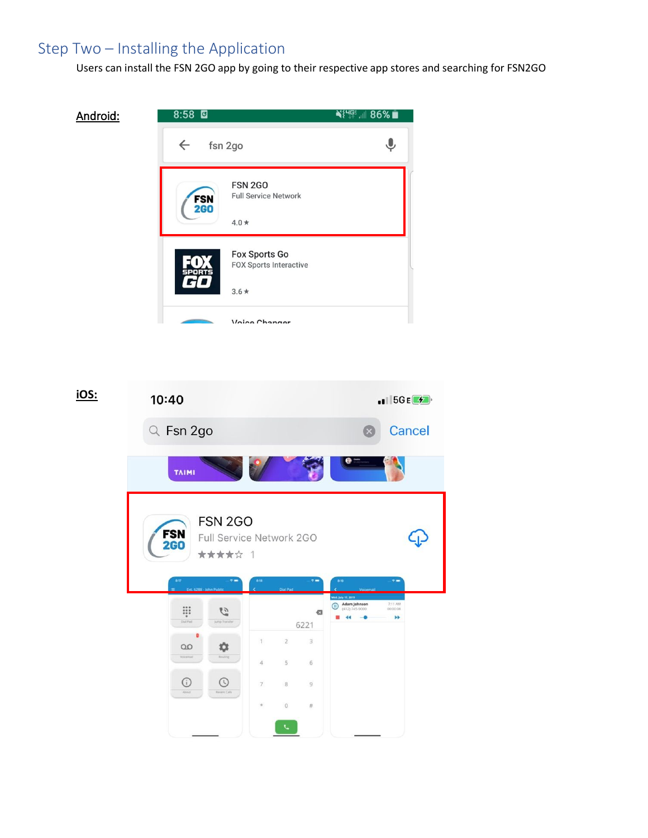## Step Two – Installing the Application

Android:

Users can install the FSN 2GO app by going to their respective app stores and searching for FSN2GO

∛{∰...∥ 86% ∎  $8:58$  $\overline{\mathbf{v}}$  $\leftarrow$ fsn 2go **FSN 2GO Full Service Network FSN**<br>2G0  $4.0\,\star$ **Fox Sports Go** FOX Sports Interactive  $3.6*$ Voice Channer